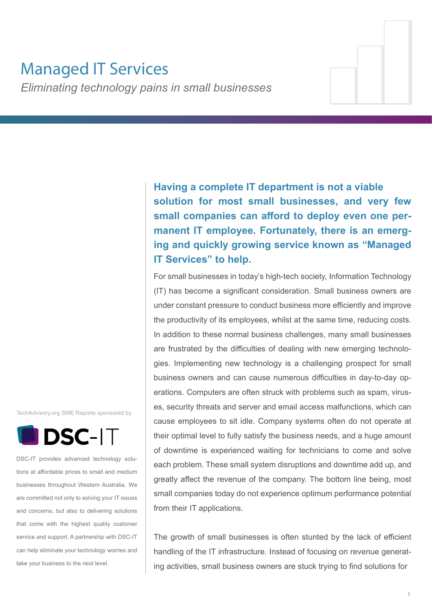# Managed IT Services

*Eliminating technology pains in small businesses*

**Having a complete IT department is not a viable solution for most small businesses, and very few small companies can afford to deploy even one permanent IT employee. Fortunately, there is an emerging and quickly growing service known as "Managed IT Services" to help.**

For small businesses in today's high-tech society, Information Technology (IT) has become a significant consideration. Small business owners are under constant pressure to conduct business more efficiently and improve the productivity of its employees, whilst at the same time, reducing costs. In addition to these normal business challenges, many small businesses are frustrated by the difficulties of dealing with new emerging technologies. Implementing new technology is a challenging prospect for small business owners and can cause numerous difficulties in day-to-day operations. Computers are often struck with problems such as spam, viruses, security threats and server and email access malfunctions, which can cause employees to sit idle. Company systems often do not operate at their optimal level to fully satisfy the business needs, and a huge amount of downtime is experienced waiting for technicians to come and solve each problem. These small system disruptions and downtime add up, and greatly affect the revenue of the company. The bottom line being, most small companies today do not experience optimum performance potential from their IT applications.

The growth of small businesses is often stunted by the lack of efficient handling of the IT infrastructure. Instead of focusing on revenue generating activities, small business owners are stuck trying to find solutions for

TechAdvisory.org SME Reports sponsored by



DSC-IT provides advanced technology solutions at affordable prices to small and medium businesses throughout Western Australia. We are committed not only to solving your IT issues and concerns, but also to delivering solutions that come with the highest quality customer service and support. A partnership with DSC-IT can help eliminate your technology worries and take your business to the next level.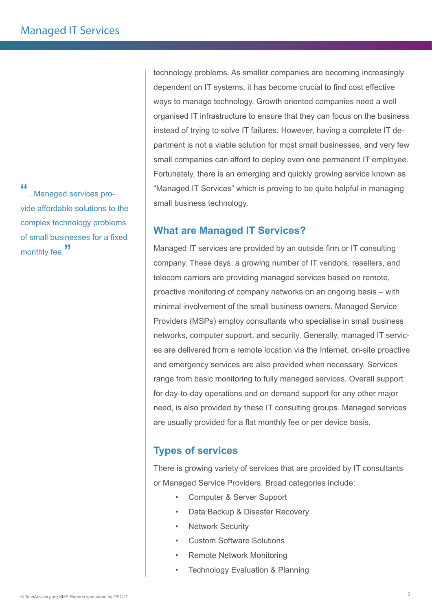"...Managed services provide affordable solutions to the complex technology problems of small businesses for a fixed monthly fee."

technology problems. As smaller companies are becoming increasingly dependent on IT systems, it has become crucial to find cost effective ways to manage technology. Growth oriented companies need a well organised IT infrastructure to ensure that they can focus on the business instead of trying to solve IT failures. However, having a complete IT department is not a viable solution for most small businesses, and very few small companies can afford to deploy even one permanent IT employee. Fortunately, there is an emerging and quickly growing service known as "Managed IT Services" which is proving to be quite helpful in managing small business technology.

## **What are Managed IT Services?**

Managed IT services are provided by an outside firm or IT consulting company. These days, a growing number of IT vendors, resellers, and telecom carriers are providing managed services based on remote, proactive monitoring of company networks on an ongoing basis – with minimal involvement of the small business owners. Managed Service Providers (MSPs) employ consultants who specialise in small business networks, computer support, and security. Generally, managed IT services are delivered from a remote location via the Internet, on-site proactive and emergency services are also provided when necessary. Services range from basic monitoring to fully managed services. Overall support for day-to-day operations and on demand support for any other major need, is also provided by these IT consulting groups. Managed services are usually provided for a flat monthly fee or per device basis.

## **Types of services**

There is growing variety of services that are provided by IT consultants or Managed Service Providers. Broad categories include:

- Computer & Server Support
- Data Backup & Disaster Recovery
- **Network Security**
- Custom Software Solutions
- **Remote Network Monitoring**
- **Technology Evaluation & Planning**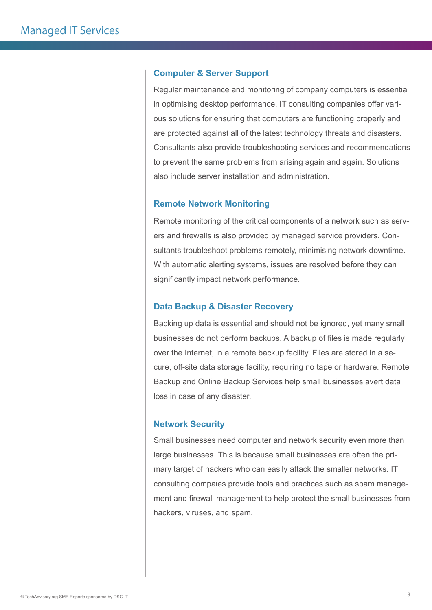#### **Computer & Server Support**

Regular maintenance and monitoring of company computers is essential in optimising desktop performance. IT consulting companies offer various solutions for ensuring that computers are functioning properly and are protected against all of the latest technology threats and disasters. Consultants also provide troubleshooting services and recommendations to prevent the same problems from arising again and again. Solutions also include server installation and administration.

#### **Remote Network Monitoring**

Remote monitoring of the critical components of a network such as servers and firewalls is also provided by managed service providers. Consultants troubleshoot problems remotely, minimising network downtime. With automatic alerting systems, issues are resolved before they can significantly impact network performance.

#### **Data Backup & Disaster Recovery**

Backing up data is essential and should not be ignored, yet many small businesses do not perform backups. A backup of files is made regularly over the Internet, in a remote backup facility. Files are stored in a secure, off-site data storage facility, requiring no tape or hardware. Remote Backup and Online Backup Services help small businesses avert data loss in case of any disaster.

#### **Network Security**

Small businesses need computer and network security even more than large businesses. This is because small businesses are often the primary target of hackers who can easily attack the smaller networks. IT consulting compaies provide tools and practices such as spam management and firewall management to help protect the small businesses from hackers, viruses, and spam.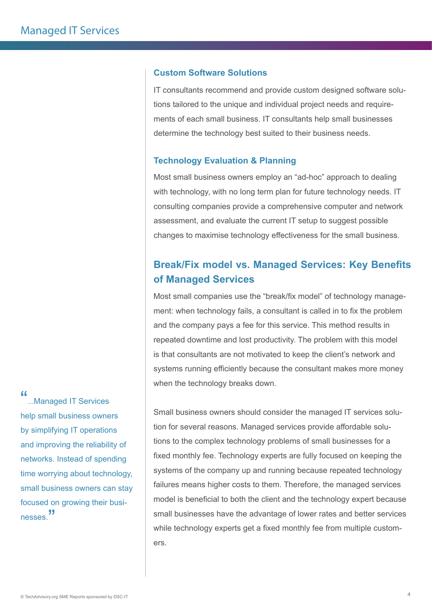#### **Custom Software Solutions**

IT consultants recommend and provide custom designed software solutions tailored to the unique and individual project needs and requirements of each small business. IT consultants help small businesses determine the technology best suited to their business needs.

#### **Technology Evaluation & Planning**

Most small business owners employ an "ad-hoc" approach to dealing with technology, with no long term plan for future technology needs. IT consulting companies provide a comprehensive computer and network assessment, and evaluate the current IT setup to suggest possible changes to maximise technology effectiveness for the small business.

## **Break/Fix model vs. Managed Services: Key Benefits of Managed Services**

Most small companies use the "break/fix model" of technology management: when technology fails, a consultant is called in to fix the problem and the company pays a fee for this service. This method results in repeated downtime and lost productivity. The problem with this model is that consultants are not motivated to keep the client's network and systems running efficiently because the consultant makes more money when the technology breaks down.

Small business owners should consider the managed IT services solution for several reasons. Managed services provide affordable solutions to the complex technology problems of small businesses for a fixed monthly fee. Technology experts are fully focused on keeping the systems of the company up and running because repeated technology failures means higher costs to them. Therefore, the managed services model is beneficial to both the client and the technology expert because small businesses have the advantage of lower rates and better services while technology experts get a fixed monthly fee from multiple customers.

## "...Managed IT Services

help small business owners by simplifying IT operations and improving the reliability of networks. Instead of spending time worrying about technology, small business owners can stay focused on growing their businesses.<sup>"</sup>